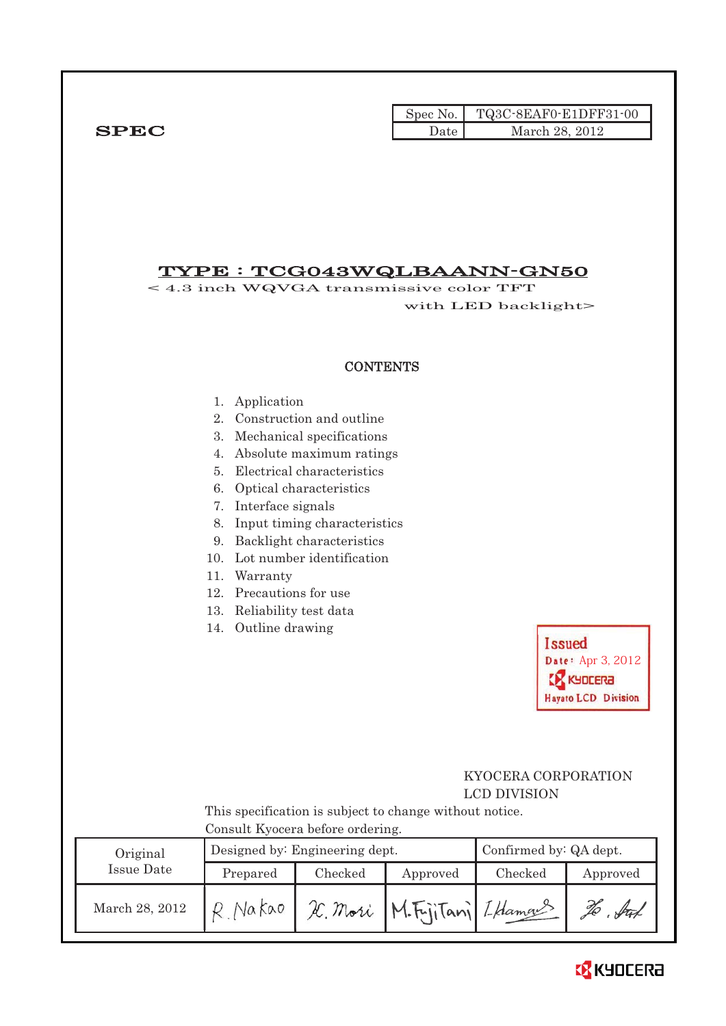|              |        | Spec No. TQ3C-8EAF0-E1DFF31-00 |
|--------------|--------|--------------------------------|
| ${\bf SPEC}$ | Date I | March 28, 2012                 |

## TYPE : TCG043WQLBAANN-GN50

< 4.3 inch WQVGA transmissive color TFT with LED backlight>

### **CONTENTS**

- 1. Application
- 2. Construction and outline
- 3. Mechanical specifications
- 4. Absolute maximum ratings
- 5. Electrical characteristics
- 6. Optical characteristics
- 7. Interface signals
- 8. Input timing characteristics
- 9. Backlight characteristics
- 10. Lot number identification
- 11. Warranty
- 12. Precautions for use
- 13. Reliability test data
- 14. Outline drawing

## KYOCERA CORPORATION LCD DIVISION

Date: Apr 3, 2012

**EX KYDCERA Hayato LCD Division** 

**Issued** 

 This specification is subject to change without notice. Consult Kyocera before ordering.

| Original       |          | Designed by: Engineering dept. | Confirmed by: QA dept. |         |               |
|----------------|----------|--------------------------------|------------------------|---------|---------------|
| Issue Date     | Prepared | Checked                        | Approved               | Checked | Approved      |
| March 28, 2012 |          | H. Mori                        | M.FrijTani I.Hamaus    |         | $\sqrt{4\pi}$ |

# **EX** KYOCERA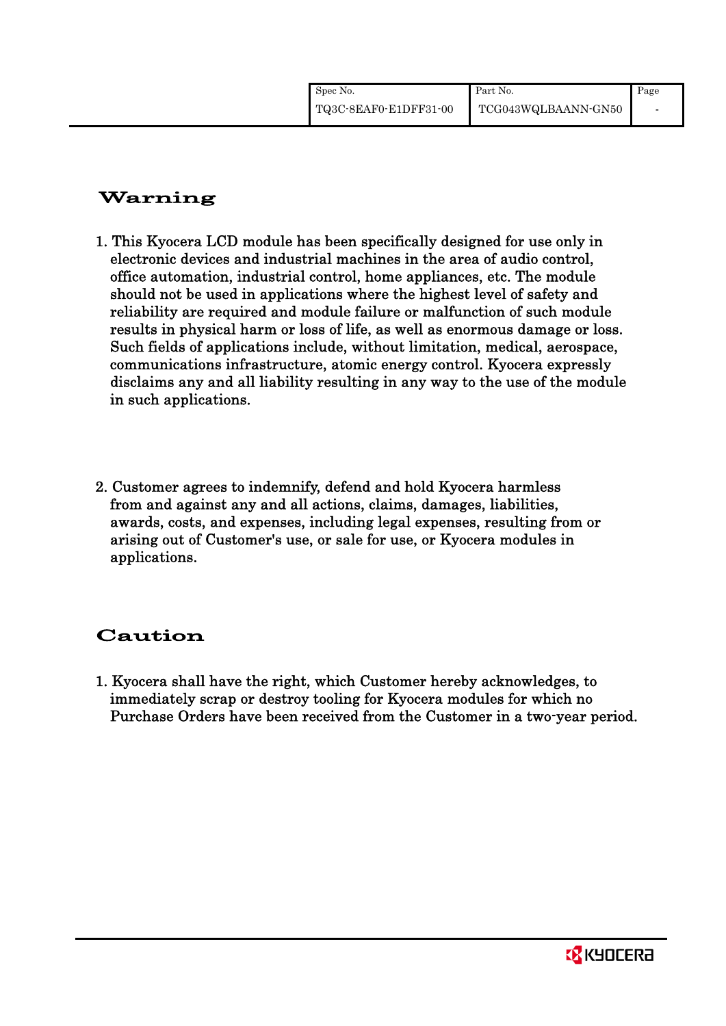# Warning

- 1. This Kyocera LCD module has been specifically designed for use only in electronic devices and industrial machines in the area of audio control, office automation, industrial control, home appliances, etc. The module should not be used in applications where the highest level of safety and reliability are required and module failure or malfunction of such module results in physical harm or loss of life, as well as enormous damage or loss. Such fields of applications include, without limitation, medical, aerospace, communications infrastructure, atomic energy control. Kyocera expressly disclaims any and all liability resulting in any way to the use of the module in such applications.
- 2. Customer agrees to indemnify, defend and hold Kyocera harmless from and against any and all actions, claims, damages, liabilities, awards, costs, and expenses, including legal expenses, resulting from or arising out of Customer's use, or sale for use, or Kyocera modules in applications.

# Caution

1. Kyocera shall have the right, which Customer hereby acknowledges, to immediately scrap or destroy tooling for Kyocera modules for which no Purchase Orders have been received from the Customer in a two-year period.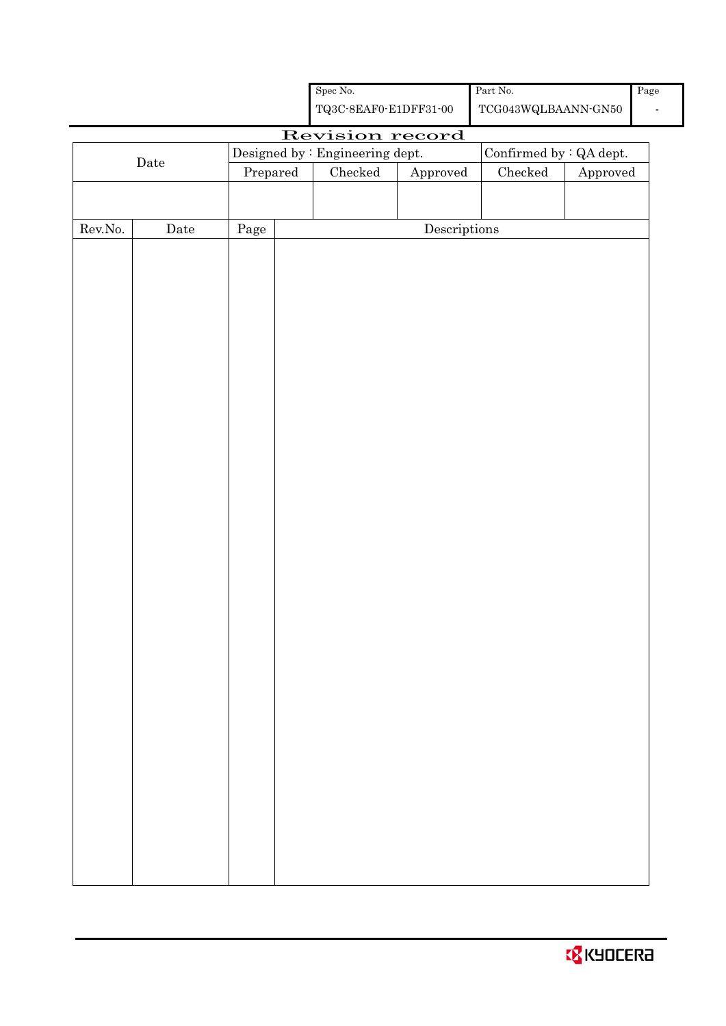|  | <b>O</b> KYOCERA |  |
|--|------------------|--|
|--|------------------|--|

|                                                            |                       |                                  |                                                    | Spec No.        |                                      | Part No.        |          | Pag |
|------------------------------------------------------------|-----------------------|----------------------------------|----------------------------------------------------|-----------------|--------------------------------------|-----------------|----------|-----|
|                                                            |                       |                                  | ${\bf TQ3C\text{-}SEAF0\text{-}E1DFF31\text{-}00}$ |                 | ${\tt TCG043WQLBAANN\mbox{-}GN50}$   |                 |          |     |
|                                                            |                       |                                  |                                                    | Revision record |                                      |                 |          |     |
| Designed by : Engineering dept.<br>Confirmed by : QA dept. |                       |                                  |                                                    |                 |                                      |                 |          |     |
|                                                            | ${\rm \textbf{Date}}$ | $\ensuremath{\mathrm{Prepared}}$ |                                                    | Checked         | ${\Large\bf Approved}$               | ${\it Checked}$ | Approved |     |
|                                                            |                       |                                  |                                                    |                 |                                      |                 |          |     |
|                                                            |                       |                                  |                                                    |                 |                                      |                 |          |     |
| ${\rm Rev. No.}$                                           | Date                  | Page                             |                                                    |                 | $\label{eq:2} \textbf{Descriptions}$ |                 |          |     |
|                                                            |                       |                                  |                                                    |                 |                                      |                 |          |     |
|                                                            |                       |                                  |                                                    |                 |                                      |                 |          |     |
|                                                            |                       |                                  |                                                    |                 |                                      |                 |          |     |
|                                                            |                       |                                  |                                                    |                 |                                      |                 |          |     |
|                                                            |                       |                                  |                                                    |                 |                                      |                 |          |     |
|                                                            |                       |                                  |                                                    |                 |                                      |                 |          |     |
|                                                            |                       |                                  |                                                    |                 |                                      |                 |          |     |
|                                                            |                       |                                  |                                                    |                 |                                      |                 |          |     |
|                                                            |                       |                                  |                                                    |                 |                                      |                 |          |     |
|                                                            |                       |                                  |                                                    |                 |                                      |                 |          |     |
|                                                            |                       |                                  |                                                    |                 |                                      |                 |          |     |
|                                                            |                       |                                  |                                                    |                 |                                      |                 |          |     |
|                                                            |                       |                                  |                                                    |                 |                                      |                 |          |     |
|                                                            |                       |                                  |                                                    |                 |                                      |                 |          |     |
|                                                            |                       |                                  |                                                    |                 |                                      |                 |          |     |
|                                                            |                       |                                  |                                                    |                 |                                      |                 |          |     |
|                                                            |                       |                                  |                                                    |                 |                                      |                 |          |     |
|                                                            |                       |                                  |                                                    |                 |                                      |                 |          |     |
|                                                            |                       |                                  |                                                    |                 |                                      |                 |          |     |
|                                                            |                       |                                  |                                                    |                 |                                      |                 |          |     |
|                                                            |                       |                                  |                                                    |                 |                                      |                 |          |     |
|                                                            |                       |                                  |                                                    |                 |                                      |                 |          |     |
|                                                            |                       |                                  |                                                    |                 |                                      |                 |          |     |
|                                                            |                       |                                  |                                                    |                 |                                      |                 |          |     |
|                                                            |                       |                                  |                                                    |                 |                                      |                 |          |     |
|                                                            |                       |                                  |                                                    |                 |                                      |                 |          |     |
|                                                            |                       |                                  |                                                    |                 |                                      |                 |          |     |
|                                                            |                       |                                  |                                                    |                 |                                      |                 |          |     |
|                                                            |                       |                                  |                                                    |                 |                                      |                 |          |     |
|                                                            |                       |                                  |                                                    |                 |                                      |                 |          |     |
|                                                            |                       |                                  |                                                    |                 |                                      |                 |          |     |
|                                                            |                       |                                  |                                                    |                 |                                      |                 |          |     |
|                                                            |                       |                                  |                                                    |                 |                                      |                 |          |     |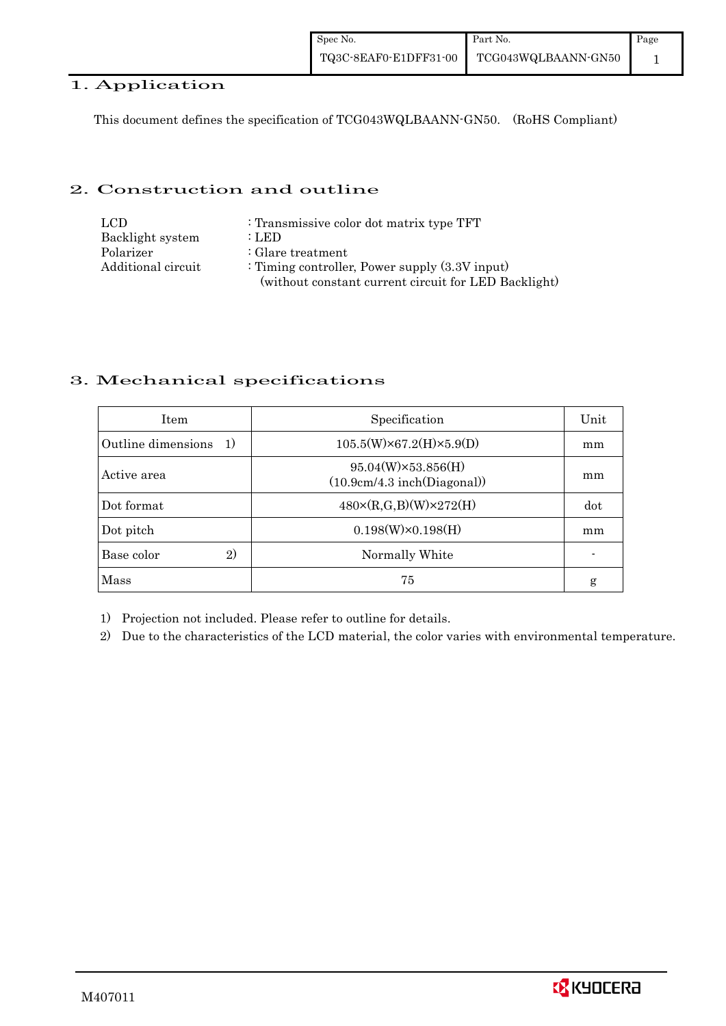## 1. Application

This document defines the specification of TCG043WQLBAANN-GN50. (RoHS Compliant)

## 2. Construction and outline

| LCD.               | : Transmissive color dot matrix type TFT             |
|--------------------|------------------------------------------------------|
| Backlight system   | : LED                                                |
| Polarizer          | $\therefore$ Glare treatment                         |
| Additional circuit | : Timing controller, Power supply $(3.3V)$ input)    |
|                    | (without constant current circuit for LED Backlight) |

## 3. Mechanical specifications

| <b>Item</b>                        | Specification                                            | Unit |
|------------------------------------|----------------------------------------------------------|------|
| Outline dimensions<br><sup>1</sup> | $105.5(W)\times 67.2(H)\times 5.9(D)$                    | mm   |
| Active area                        | $95.04(W)\times53.856(H)$<br>(10.9cm/4.3 inch(Diagonal)) | mm   |
| Dot format                         | $480 \times (R,G,B)(W) \times 272(H)$                    | dot  |
| Dot pitch                          | $0.198(W)\times0.198(H)$                                 | mm   |
| Base color<br>$\mathbf{2}$         | Normally White                                           |      |
| Mass                               | 75                                                       | g    |

1) Projection not included. Please refer to outline for details.

2) Due to the characteristics of the LCD material, the color varies with environmental temperature.

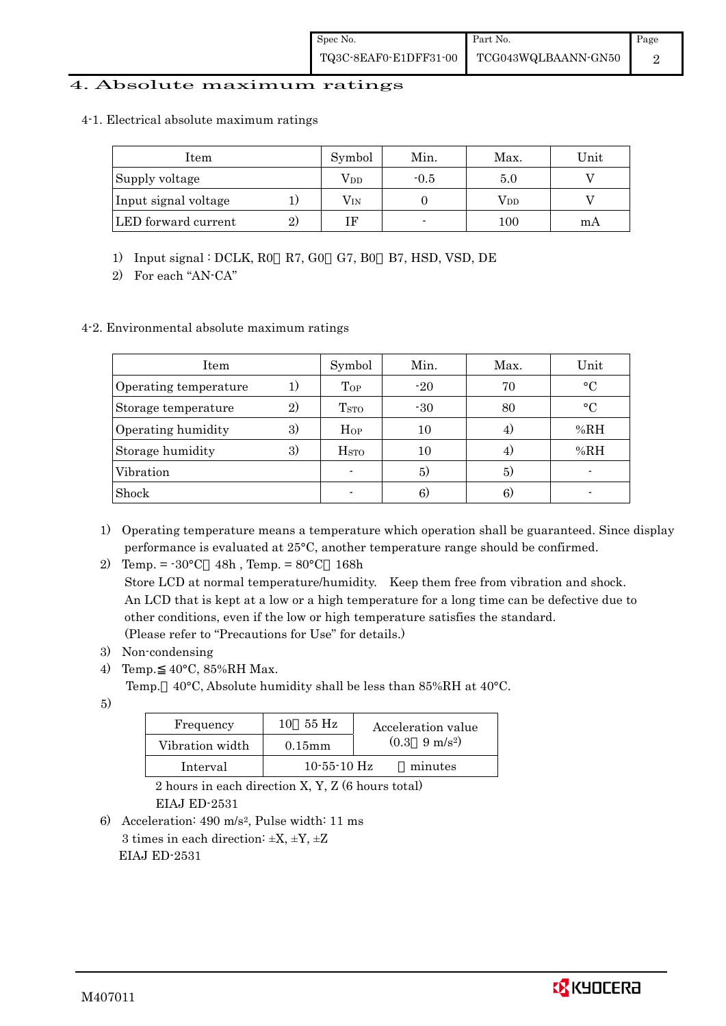### 4. Absolute maximum ratings

#### 4-1. Electrical absolute maximum ratings

| Item                 |              | Symbol       | Min.   | Max.         | Unit |
|----------------------|--------------|--------------|--------|--------------|------|
| Supply voltage       |              | $\rm V_{DD}$ | $-0.5$ | 5.0          |      |
| Input signal voltage |              | $\rm V_{IN}$ |        | $\rm V_{DD}$ |      |
| LED forward current  | $\mathbf{2}$ |              |        | 100          | mA   |

1) Input signal : DCLK, R0 R7, G0 G7, B0 B7, HSD, VSD, DE

2) For each "AN-CA"

#### 4-2. Environmental absolute maximum ratings

| Item                  |              | Symbol                   | Min.  | Max. | Unit      |
|-----------------------|--------------|--------------------------|-------|------|-----------|
| Operating temperature |              | Top                      | $-20$ | 70   | $\circ$ C |
| Storage temperature   | $\mathbf{2}$ | <b>T</b> <sub>STO</sub>  | $-30$ | 80   | $\circ$ C |
| Operating humidity    | 3)           | Hop                      | 10    | 4.   | %RH       |
| Storage humidity      | 3)           | <b>H</b> <sub>sto</sub>  | 10    | 4.   | %RH       |
| Vibration             |              | $\overline{\phantom{a}}$ | 5)    | 5)   |           |
| Shock                 |              |                          | 6)    | 6)   |           |

1) Operating temperature means a temperature which operation shall be guaranteed. Since display performance is evaluated at 25°C, another temperature range should be confirmed.

2) Temp. = -30°C 48h , Temp. = 80°C 168h

 Store LCD at normal temperature/humidity. Keep them free from vibration and shock. An LCD that is kept at a low or a high temperature for a long time can be defective due to other conditions, even if the low or high temperature satisfies the standard. (Please refer to "Precautions for Use" for details.)

- 3) Non-condensing
- 4) Temp. 40°C, 85%RH Max.
	- Temp. 40°C, Absolute humidity shall be less than 85%RH at 40°C.
- 5)

| Frequency       | 55 Hz<br>10       | Acceleration value            |
|-----------------|-------------------|-------------------------------|
| Vibration width | $0.15$ mm         | $(0.3 \quad 9 \text{ m/s}^2)$ |
| Interval        | $10 - 55 - 10$ Hz | minutes                       |

 2 hours in each direction X, Y, Z (6 hours total) EIAJ ED-2531

6) Acceleration: 490 m/s2, Pulse width: 11 ms 3 times in each direction:  $\pm X$ ,  $\pm Y$ ,  $\pm Z$ EIAJ ED-2531

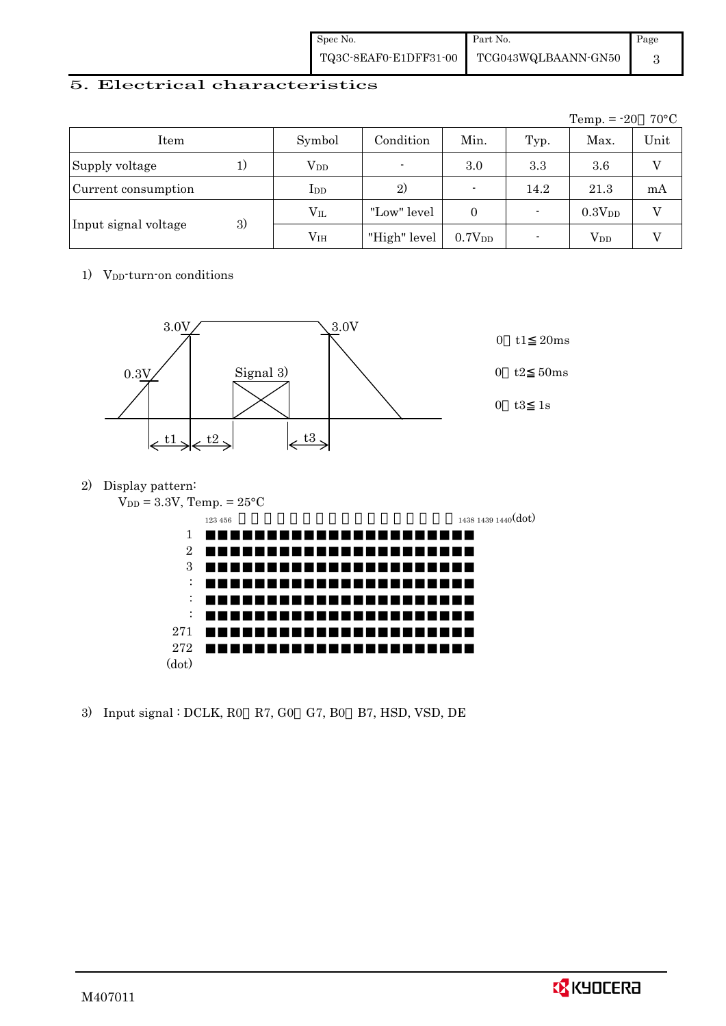| Spec No. | Part No.                                  | Page |
|----------|-------------------------------------------|------|
|          | TQ3C-8EAF0-E1DFF31-00 TCG043WQLBAANN-GN50 |      |

### 5. Electrical characteristics

|                      |    |                 |                          |                          |                          | Temp. $= -20$          | $70^{\circ}$ C |
|----------------------|----|-----------------|--------------------------|--------------------------|--------------------------|------------------------|----------------|
| Item                 |    | Symbol          | Condition                | Min.                     | Typ.                     | Max.                   | Unit           |
| Supply voltage       | 1) | $\rm V_{DD}$    | $\overline{\phantom{0}}$ | 3.0                      | 3.3                      | 3.6                    | V              |
| Current consumption  |    | $_{\rm{LDD}}$   | 2)                       | $\overline{\phantom{0}}$ | 14.2                     | 21.3                   | mA             |
|                      |    | $\rm V_{II}$    | "Low" level              | $\Omega$                 | $\overline{\phantom{0}}$ | 0.3V <sub>DD</sub>     | V              |
| Input signal voltage | 3) | V <sub>IH</sub> | "High" level             | 0.7V <sub>DD</sub>       |                          | <b>V</b> <sub>DD</sub> |                |

## 1) V<sub>DD</sub>-turn-on conditions



2) Display pattern:

| $V_{DD} = 3.3V$ , Temp. = $25^{\circ}C$ |                     |
|-----------------------------------------|---------------------|
| 123 456                                 | 1438 1439 1440(dot) |
| 1                                       |                     |
| $\overline{2}$                          |                     |
| 3                                       |                     |
| ٠<br>$\cdot$                            |                     |
| ٠<br>$\bullet$                          |                     |
| ٠<br>$\cdot$                            |                     |
| 271                                     |                     |
| 272                                     |                     |
| (dot)                                   |                     |
|                                         |                     |

3) Input signal : DCLK, R0 R7, G0 G7, B0 B7, HSD, VSD, DE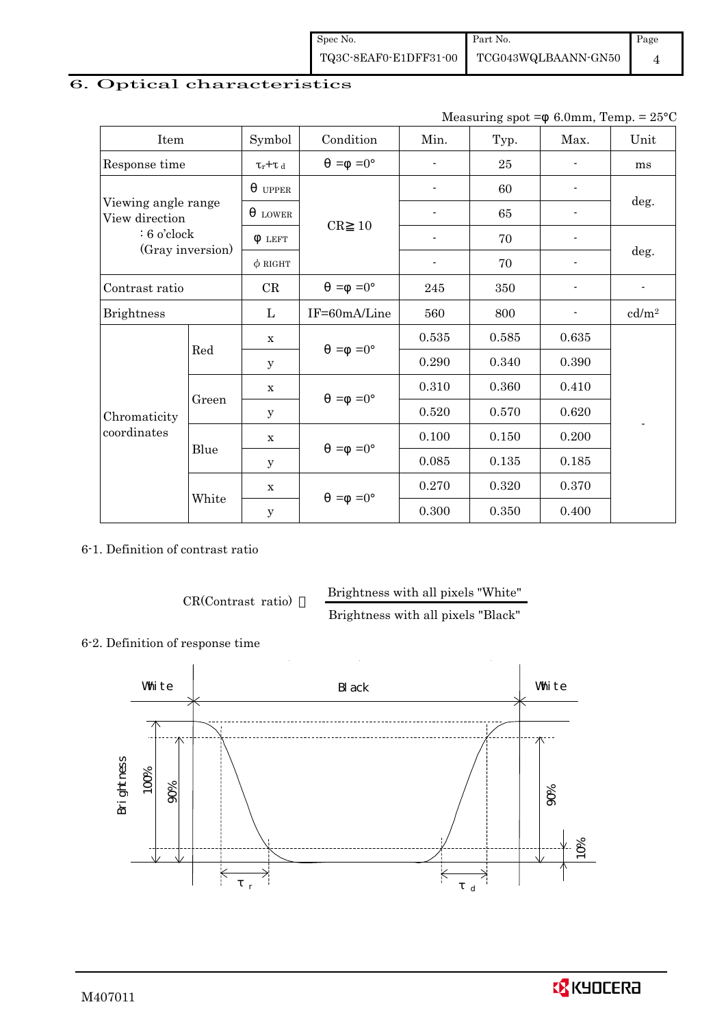| Spec No. | Part No.                                  | Page |
|----------|-------------------------------------------|------|
|          | TQ3C-8EAF0-E1DFF31-00 TCG043WQLBAANN-GN50 |      |

## 6. Optical characteristics

Measuring spot =  $6.0$ mm, Temp. =  $25^{\circ}$ C

|                                       | Item             |              | Condition           | Min.           | Typ.  | Max.  | Unit              |
|---------------------------------------|------------------|--------------|---------------------|----------------|-------|-------|-------------------|
| Response time                         |                  |              | $=0^{\circ}$<br>$=$ |                | 25    |       | ms                |
|                                       |                  | <b>UPPER</b> |                     |                | 60    |       |                   |
| Viewing angle range<br>View direction |                  | <b>LOWER</b> |                     | $\blacksquare$ | 65    |       | deg.              |
| $: 6$ o'clock                         |                  | <b>LEFT</b>  | CR<br>10            |                | 70    |       |                   |
|                                       | (Gray inversion) | $\phi$ RIGHT |                     |                | 70    |       | deg.              |
| Contrast ratio                        |                  |              | $=0^{\circ}$<br>$=$ | 245            | 350   |       | $\blacksquare$    |
| <b>Brightness</b>                     |                  |              | IF=60mA/Line        | 560            | 800   |       | cd/m <sup>2</sup> |
|                                       |                  | $\mathbf x$  |                     | 0.535          | 0.585 | 0.635 |                   |
|                                       | Red              | y            | $=0^{\circ}$<br>$=$ | 0.290          | 0.340 | 0.390 |                   |
|                                       |                  | $\mathbf x$  |                     | 0.310          | 0.360 | 0.410 |                   |
| Chromaticity                          | Green            | У            | $=0^{\circ}$<br>$=$ | 0.520          | 0.570 | 0.620 |                   |
| coordinates                           |                  | $\mathbf X$  |                     | 0.100          | 0.150 | 0.200 |                   |
|                                       | Blue             | у            | $=0^{\circ}$<br>$=$ | 0.085          | 0.135 | 0.185 |                   |
|                                       |                  | $\mathbf X$  |                     | 0.270          | 0.320 | 0.370 |                   |
|                                       | White            | $\mathbf y$  | $=0^\circ$<br>$=$   | 0.300          | 0.350 | 0.400 |                   |

6-1. Definition of contrast ratio

CR(Contrast ratio) Brightness with all pixels "White"

Brightness with all pixels "Black"

6-2. Definition of response time



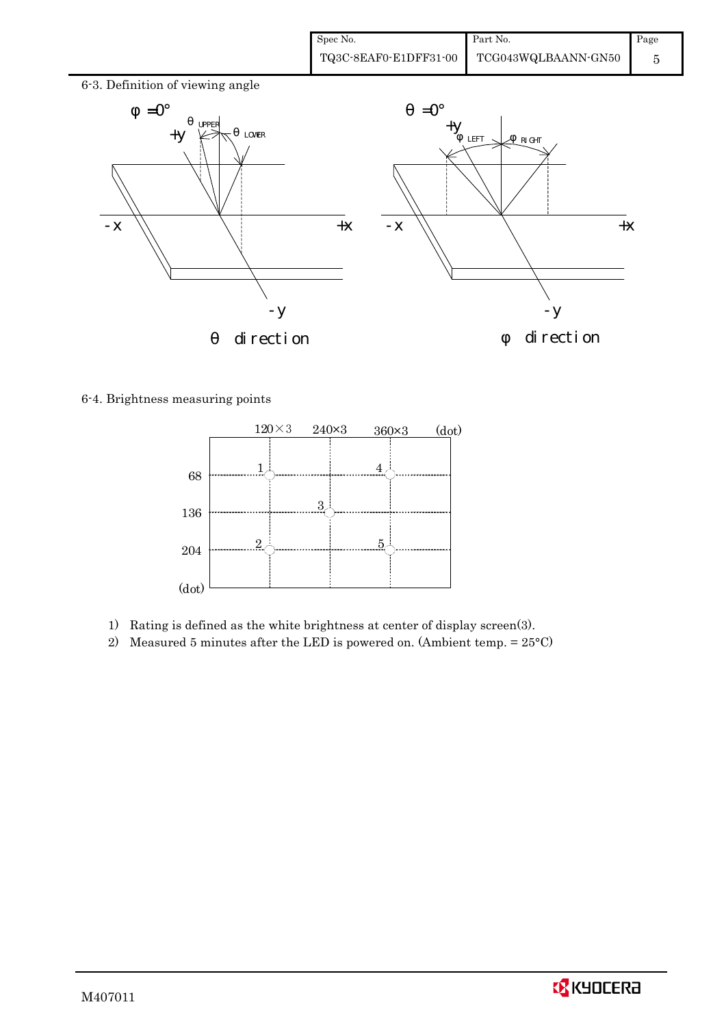| Spec No.              | Part No.            | Page |
|-----------------------|---------------------|------|
| TQ3C-8EAF0-E1DFF31-00 | TCG043WQLBAANN-GN50 |      |



6-4. Brightness measuring points



- 1) Rating is defined as the white brightness at center of display screen(3).
- 2) Measured 5 minutes after the LED is powered on. (Ambient temp.  $= 25^{\circ}$ C)

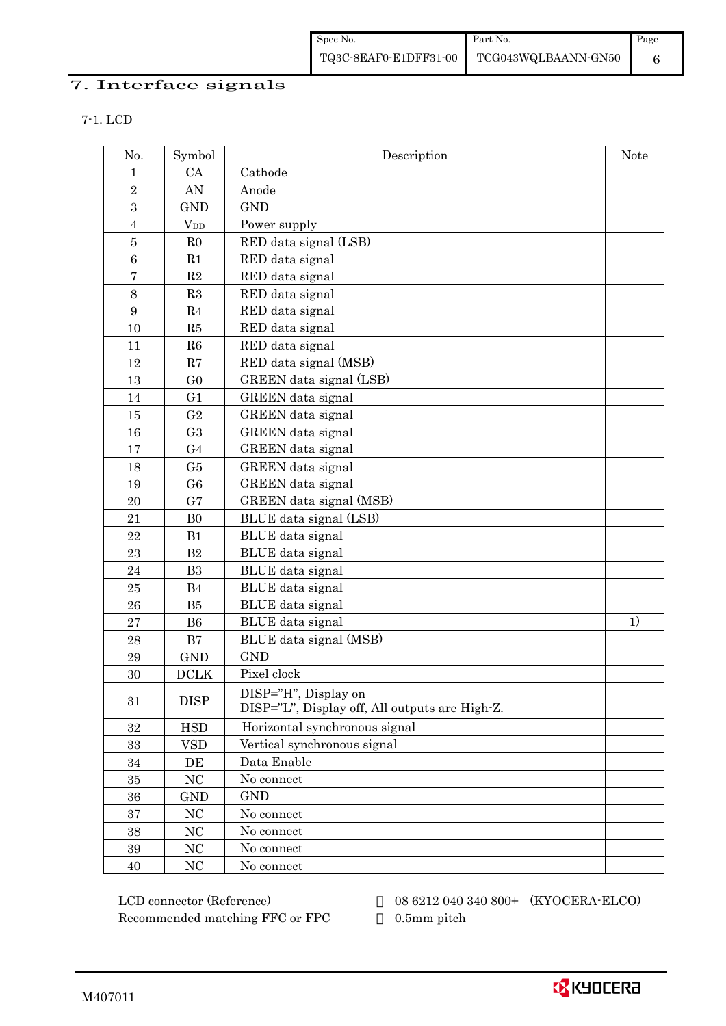## 7. Interface signals

7-1. LCD

| No.              | Symbol         | Description                                    | <b>Note</b> |
|------------------|----------------|------------------------------------------------|-------------|
| 1                | CA             | Cathode                                        |             |
| $\overline{2}$   | AN             | Anode                                          |             |
| 3                | <b>GND</b>     | <b>GND</b>                                     |             |
| $\overline{4}$   | $V_{DD}$       | Power supply                                   |             |
| $\bf 5$          | R <sub>0</sub> | RED data signal (LSB)                          |             |
| 6                | R1             | RED data signal                                |             |
| $\bf 7$          | $\mathbf{R}2$  | RED data signal                                |             |
| $8\,$            | R3             | RED data signal                                |             |
| $\boldsymbol{9}$ | R4             | RED data signal                                |             |
| 10               | R5             | RED data signal                                |             |
| 11               | R6             | RED data signal                                |             |
| 12               | R7             | RED data signal (MSB)                          |             |
| 13               | G <sub>0</sub> | GREEN data signal (LSB)                        |             |
| 14               | G1             | GREEN data signal                              |             |
| 15               | G <sub>2</sub> | GREEN data signal                              |             |
| 16               | G <sub>3</sub> | <b>GREEN</b> data signal                       |             |
| 17               | G <sub>4</sub> | GREEN data signal                              |             |
| 18               | G5             | <b>GREEN</b> data signal                       |             |
| 19               | G <sub>6</sub> | GREEN data signal                              |             |
| 20               | G7             | GREEN data signal (MSB)                        |             |
| 21               | B <sub>0</sub> | BLUE data signal (LSB)                         |             |
| 22               | B1             | BLUE data signal                               |             |
| 23               | B <sub>2</sub> | BLUE data signal                               |             |
| 24               | B <sub>3</sub> | BLUE data signal                               |             |
| $25\,$           | <b>B4</b>      | BLUE data signal                               |             |
| 26               | B <sub>5</sub> | BLUE data signal                               |             |
| 27               | B <sub>6</sub> | BLUE data signal                               | 1)          |
| 28               | $\mathbf{B}7$  | BLUE data signal (MSB)                         |             |
| 29               | <b>GND</b>     | <b>GND</b>                                     |             |
| 30               | <b>DCLK</b>    | Pixel clock                                    |             |
| 31               | <b>DISP</b>    | DISP="H", Display on                           |             |
|                  |                | DISP="L", Display off, All outputs are High-Z. |             |
| $32\,$           | <b>HSD</b>     | Horizontal synchronous signal                  |             |
| 33               | <b>VSD</b>     | Vertical synchronous signal                    |             |
| $34\,$           | DE             | Data Enable                                    |             |
| 35               | $\rm NC$       | No connect                                     |             |
| 36               | <b>GND</b>     | <b>GND</b>                                     |             |
| 37               | $\rm NC$       | No connect                                     |             |
| 38               | NC             | No connect                                     |             |
| 39               | NC             | No connect                                     |             |
| 40               | NC             | No connect                                     |             |

Recommended matching FFC or FPC 0.5mm pitch

LCD connector (Reference) 08 6212 040 340 800+ (KYOCERA-ELCO)

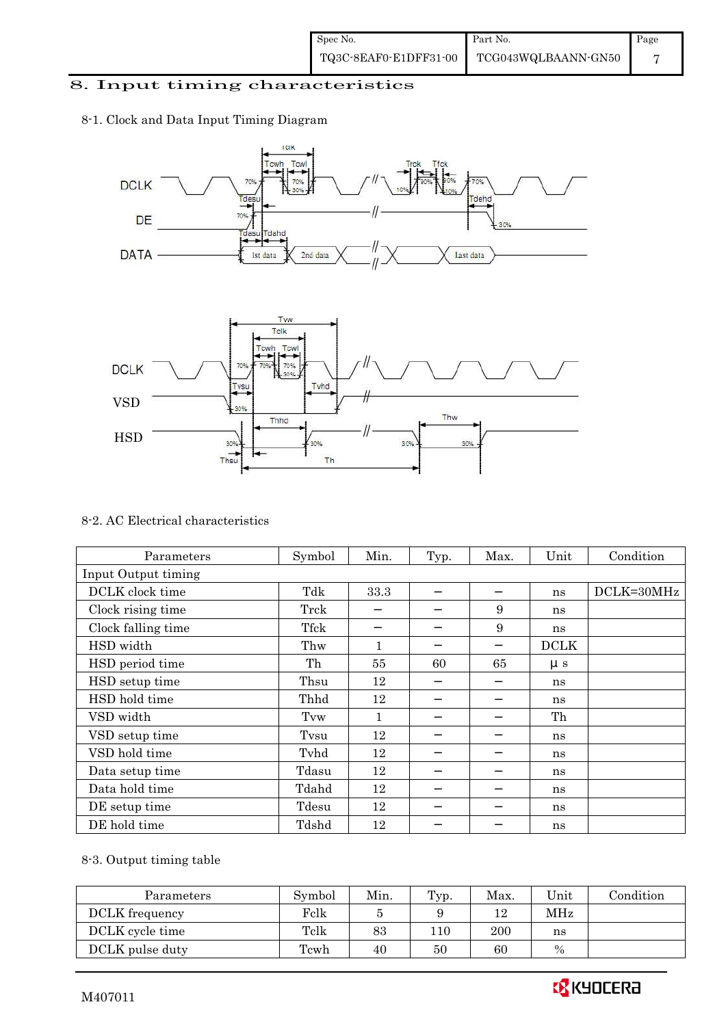## 8. Input timing characteristics

## 8-1. Clock and Data Input Timing Diagram





#### 8-2. AC Electrical characteristics

| Parameters          | Symbol | Min. | Typ. | Max. | Unit        | Condition  |
|---------------------|--------|------|------|------|-------------|------------|
| Input Output timing |        |      |      |      |             |            |
| DCLK clock time     | Tdk    | 33.3 |      |      | ns          | DCLK=30MHz |
| Clock rising time   | Trck   |      |      | 9    | ns          |            |
| Clock falling time  | Tfck   |      |      | 9    | ns          |            |
| HSD width           | Thw    | 1    |      |      | <b>DCLK</b> |            |
| HSD period time     | Th     | 55   | 60   | 65   | $\mu s$     |            |
| HSD setup time      | Thsu   | 12   |      |      | ns          |            |
| HSD hold time       | Thhd   | 12   |      |      | ns          |            |
| VSD width           | Tvw    | 1    |      |      | Th          |            |
| VSD setup time      | Tvsu   | 12   |      |      | ns          |            |
| VSD hold time       | Tyhd   | 12   |      |      | ns          |            |
| Data setup time     | Tdasu  | 12   |      |      | ns          |            |
| Data hold time      | Tdahd  | 12   |      |      | ns          |            |
| DE setup time       | Tdesu  | 12   |      |      | ns          |            |
| DE hold time        | Tdshd  | 12   |      |      | ns          |            |

## 8-3. Output timing table

| Parameters      | Symbol | Min. | Typ. | Max. | Unit | Condition |
|-----------------|--------|------|------|------|------|-----------|
| DCLK frequency  | Felk   |      |      | 12   | MHz  |           |
| DCLK cycle time | Tclk   | 83   | 110  | 200  | ns   |           |
| DCLK pulse duty | Tcwh   | 40   | 50   | 60   | $\%$ |           |

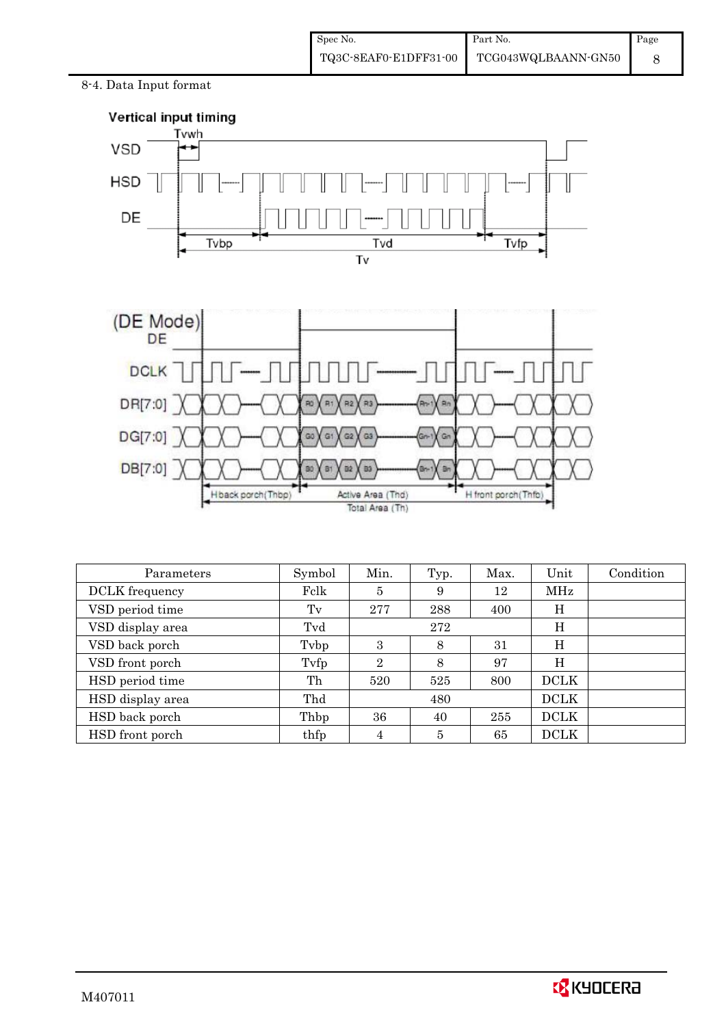8-4. Data Input format



| Parameters            | Symbol | Min.           | Typ.           | Max. | Unit        | Condition |
|-----------------------|--------|----------------|----------------|------|-------------|-----------|
| <b>DCLK</b> frequency | Felk   | 5              | 9              | 12   | MHz         |           |
| VSD period time       | Tv     | 277            | 288            | 400  | Η           |           |
| VSD display area      | Tvd    |                | 272            |      | Η           |           |
| VSD back porch        | Tybp   | 3              | 8              | 31   | H           |           |
| VSD front porch       | Tyfp   | $\overline{2}$ | 8              | 97   | Η           |           |
| HSD period time       | Th     | 520            | 525            | 800  | <b>DCLK</b> |           |
| HSD display area      | Thd    |                | 480            |      | <b>DCLK</b> |           |
| HSD back porch        | Thbp   | 36             | 40             | 255  | <b>DCLK</b> |           |
| HSD front porch       | thfp   | 4              | $\overline{5}$ | 65   | <b>DCLK</b> |           |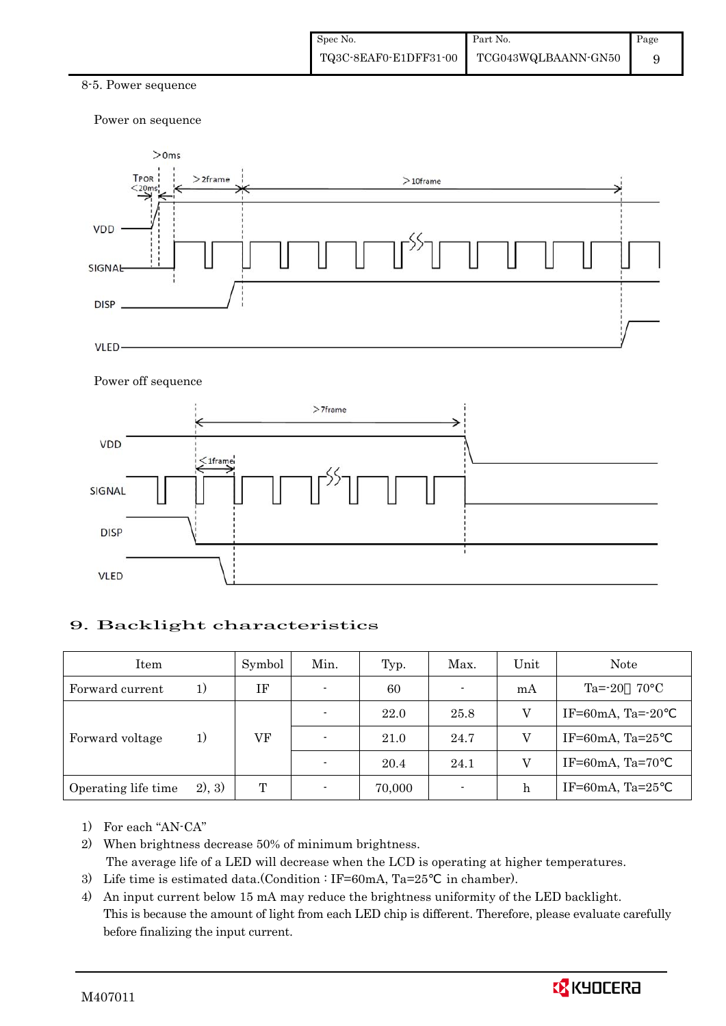#### 8-5. Power sequence

Power on sequence



#### Power off sequence



### 9. Backlight characteristics

| Item                |        | Symbol | Min.                     | Typ.   | Max.   | Unit | Note                         |
|---------------------|--------|--------|--------------------------|--------|--------|------|------------------------------|
| Forward current     | 1)     | ΙF     | $\blacksquare$           | 60     | ۰.     | mA   | $Ta = -20$<br>$70^{\circ}$ C |
|                     |        |        |                          | 22.0   | 25.8   |      | IF=60mA, Ta= $-20$           |
| Forward voltage     | 1)     | VF     | $\blacksquare$           | 21.0   | 24.7   |      | IF=60mA, Ta= $25$            |
|                     |        |        | $\blacksquare$           | 20.4   | 24.1   |      | IF=60mA, Ta=70               |
| Operating life time | 2), 3) | T      | $\overline{\phantom{0}}$ | 70,000 | $\sim$ | h    | IF=60mA, Ta= $25$            |

- 1) For each "AN-CA"
- 2) When brightness decrease 50% of minimum brightness. The average life of a LED will decrease when the LCD is operating at higher temperatures.
- 3) Life time is estimated data.(Condition : IF=60mA, Ta=25 in chamber).
- 4) An input current below 15 mA may reduce the brightness uniformity of the LED backlight. This is because the amount of light from each LED chip is different. Therefore, please evaluate carefully before finalizing the input current.

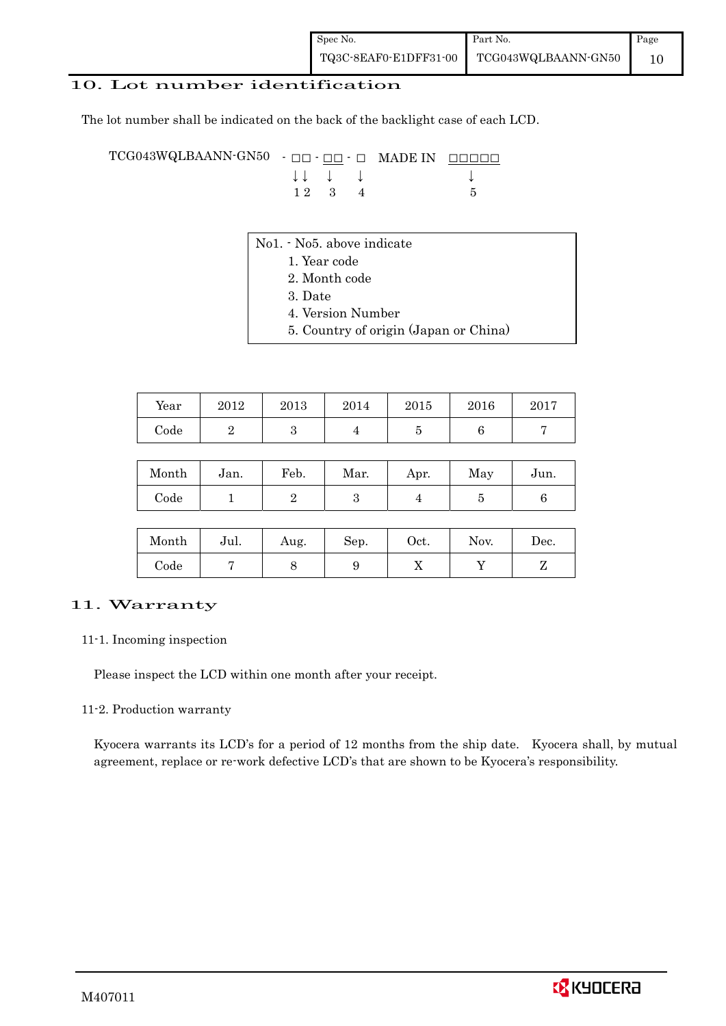## 10. Lot number identification

The lot number shall be indicated on the back of the backlight case of each LCD.

TCG043WQLBAANN-GN50 - □□ - □□ - □ MADE IN □□□□□ ↓ ↓ ↓ ↓ ↓  $12 \quad 3 \quad 4$  5

- No1. No5. above indicate
	- 1. Year code
		- 2. Month code
		- 3. Date
		- 4. Version Number
		- 5. Country of origin (Japan or China)

| Year | 2012 | 2013 | 2014 | 2015 | 2016 | 2017 |
|------|------|------|------|------|------|------|
| Code |      |      |      |      |      |      |

| Month      | Jan. | Feb. | Mar. | Apr. | May | Jun. |
|------------|------|------|------|------|-----|------|
| $\rm Code$ |      |      |      |      |     |      |

| Month      | Jul. | Aug. | Sep. | $_{\rm Oct.}$ | Nov. | Dec. |
|------------|------|------|------|---------------|------|------|
| $\rm Code$ |      |      |      | v             |      |      |

### 11. Warranty

#### 11-1. Incoming inspection

Please inspect the LCD within one month after your receipt.

#### 11-2. Production warranty

 Kyocera warrants its LCD's for a period of 12 months from the ship date. Kyocera shall, by mutual agreement, replace or re-work defective LCD's that are shown to be Kyocera's responsibility.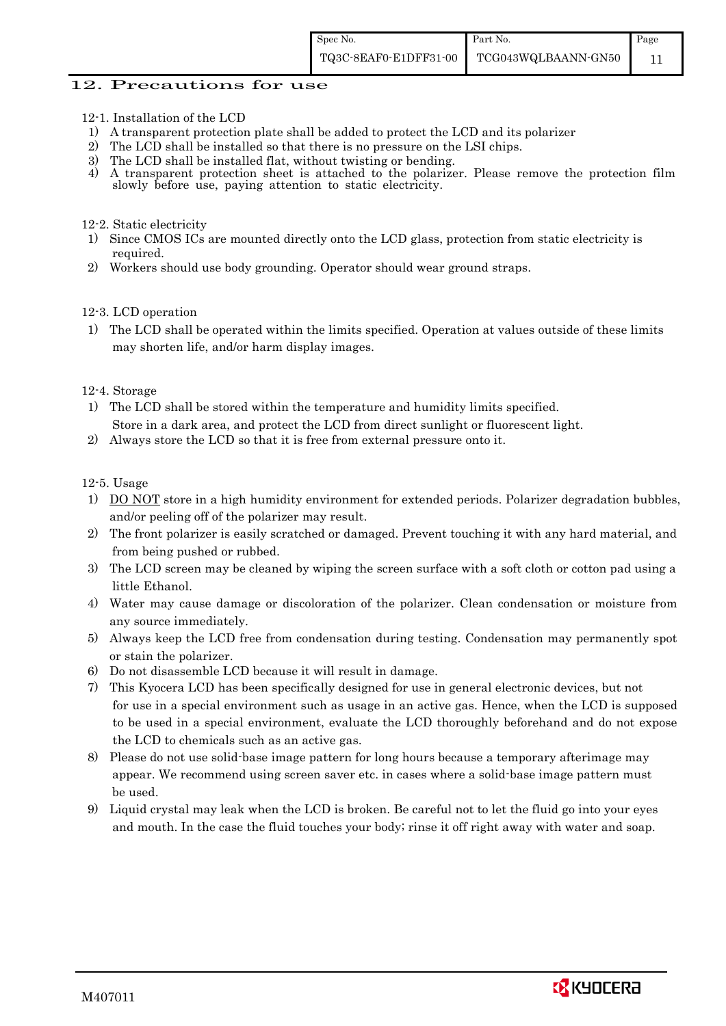#### 12. Precautions for use

- 12-1. Installation of the LCD
- 1) A transparent protection plate shall be added to protect the LCD and its polarizer
- 2) The LCD shall be installed so that there is no pressure on the LSI chips.
- 3) The LCD shall be installed flat, without twisting or bending.
- 4) A transparent protection sheet is attached to the polarizer. Please remove the protection film slowly before use, paying attention to static electricity.

#### 12-2. Static electricity

- 1) Since CMOS ICs are mounted directly onto the LCD glass, protection from static electricity is required.
- 2) Workers should use body grounding. Operator should wear ground straps.

#### 12-3. LCD operation

1) The LCD shall be operated within the limits specified. Operation at values outside of these limits may shorten life, and/or harm display images.

#### 12-4. Storage

- 1) The LCD shall be stored within the temperature and humidity limits specified. Store in a dark area, and protect the LCD from direct sunlight or fluorescent light.
- 2) Always store the LCD so that it is free from external pressure onto it.

12-5. Usage

- 1) DO NOT store in a high humidity environment for extended periods. Polarizer degradation bubbles, and/or peeling off of the polarizer may result.
- 2) The front polarizer is easily scratched or damaged. Prevent touching it with any hard material, and from being pushed or rubbed.
- 3) The LCD screen may be cleaned by wiping the screen surface with a soft cloth or cotton pad using a little Ethanol.
- 4) Water may cause damage or discoloration of the polarizer. Clean condensation or moisture from any source immediately.
- 5) Always keep the LCD free from condensation during testing. Condensation may permanently spot or stain the polarizer.
- 6) Do not disassemble LCD because it will result in damage.
- 7) This Kyocera LCD has been specifically designed for use in general electronic devices, but not for use in a special environment such as usage in an active gas. Hence, when the LCD is supposed to be used in a special environment, evaluate the LCD thoroughly beforehand and do not expose the LCD to chemicals such as an active gas.
- 8) Please do not use solid-base image pattern for long hours because a temporary afterimage may appear. We recommend using screen saver etc. in cases where a solid-base image pattern must be used.
- 9) Liquid crystal may leak when the LCD is broken. Be careful not to let the fluid go into your eyes and mouth. In the case the fluid touches your body; rinse it off right away with water and soap.

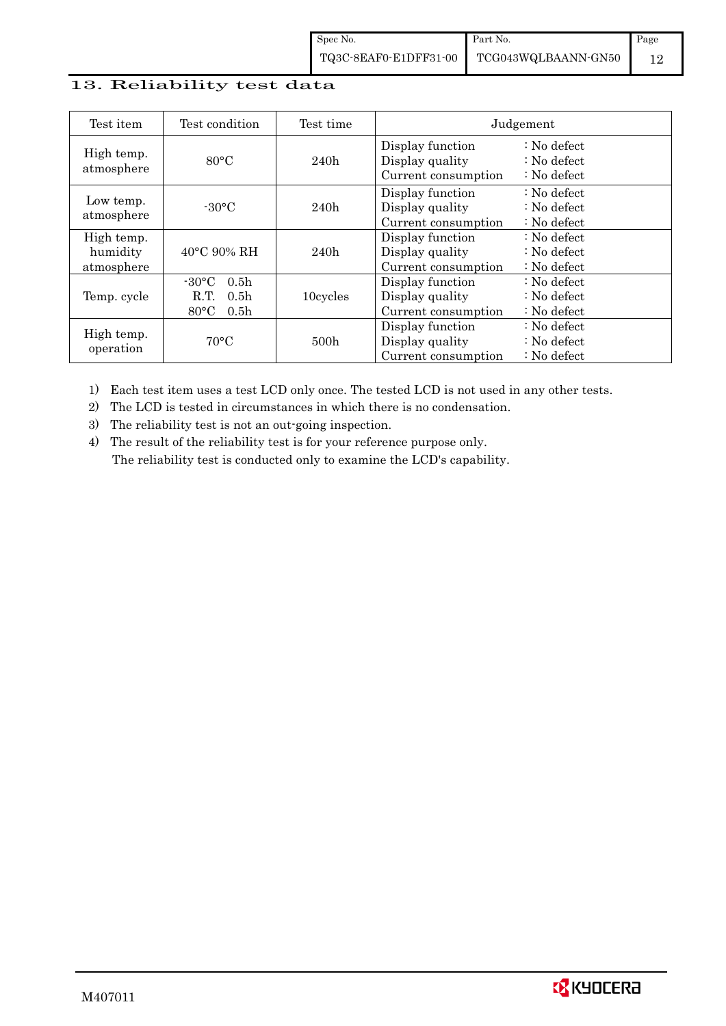## 13. Reliability test data

| Test item                            | Test condition                                                                                        | Test time |                                                            | Judgement                                                                  |
|--------------------------------------|-------------------------------------------------------------------------------------------------------|-----------|------------------------------------------------------------|----------------------------------------------------------------------------|
| High temp.<br>atmosphere             | $80^{\circ}$ C                                                                                        | 240h      | Display function<br>Display quality<br>Current consumption | $\therefore$ No defect<br>$\therefore$ No defect<br>$\therefore$ No defect |
| Low temp.<br>atmosphere              | $-30$ °C                                                                                              | 240h      | Display function<br>Display quality<br>Current consumption | $\therefore$ No defect<br>: No defect<br>$\therefore$ No defect            |
| High temp.<br>humidity<br>atmosphere | $40^{\circ}$ C 90% RH                                                                                 | 240h      | Display function<br>Display quality<br>Current consumption | : No defect<br>$\therefore$ No defect<br>$\therefore$ No defect            |
| Temp. cycle                          | $-30^{\circ}$ C<br>0.5 <sub>h</sub><br>0.5 <sub>h</sub><br>R.T.<br>$80^{\circ}$ C<br>0.5 <sub>h</sub> | 10cycles  | Display function<br>Display quality<br>Current consumption | $\therefore$ No defect<br>$\therefore$ No defect<br>$\therefore$ No defect |
| High temp.<br>operation              | $70^{\circ}$ C                                                                                        | 500h      | Display function<br>Display quality<br>Current consumption | : No defect<br>$\therefore$ No defect<br>$\therefore$ No defect            |

1) Each test item uses a test LCD only once. The tested LCD is not used in any other tests.

2) The LCD is tested in circumstances in which there is no condensation.

3) The reliability test is not an out-going inspection.

4) The result of the reliability test is for your reference purpose only. The reliability test is conducted only to examine the LCD's capability.

![](_page_14_Picture_7.jpeg)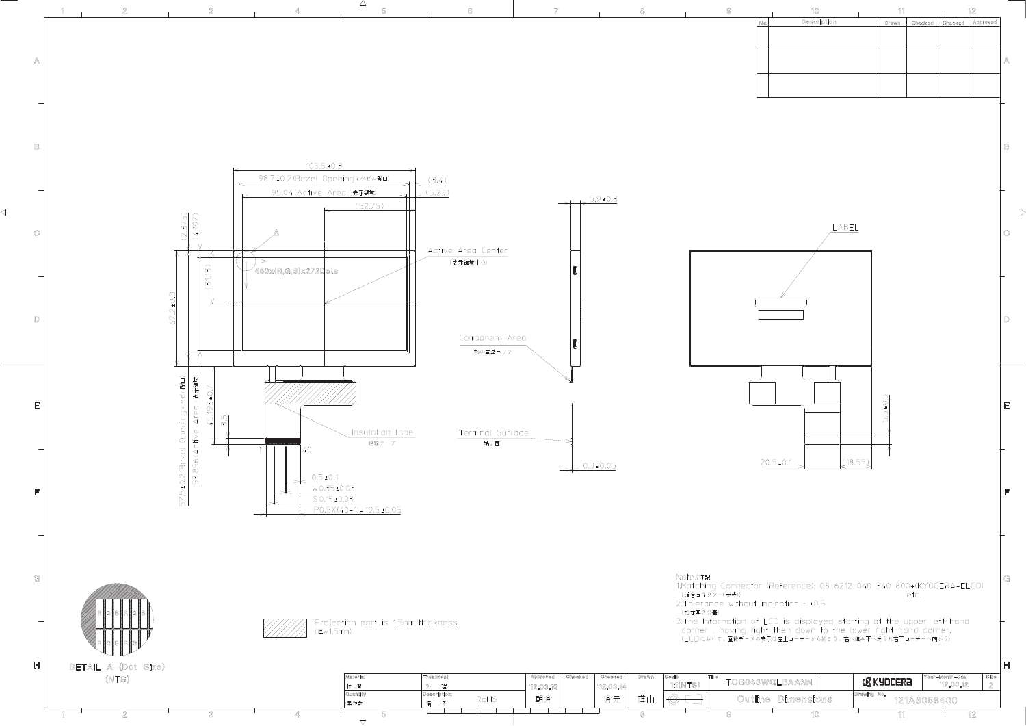![](_page_15_Figure_0.jpeg)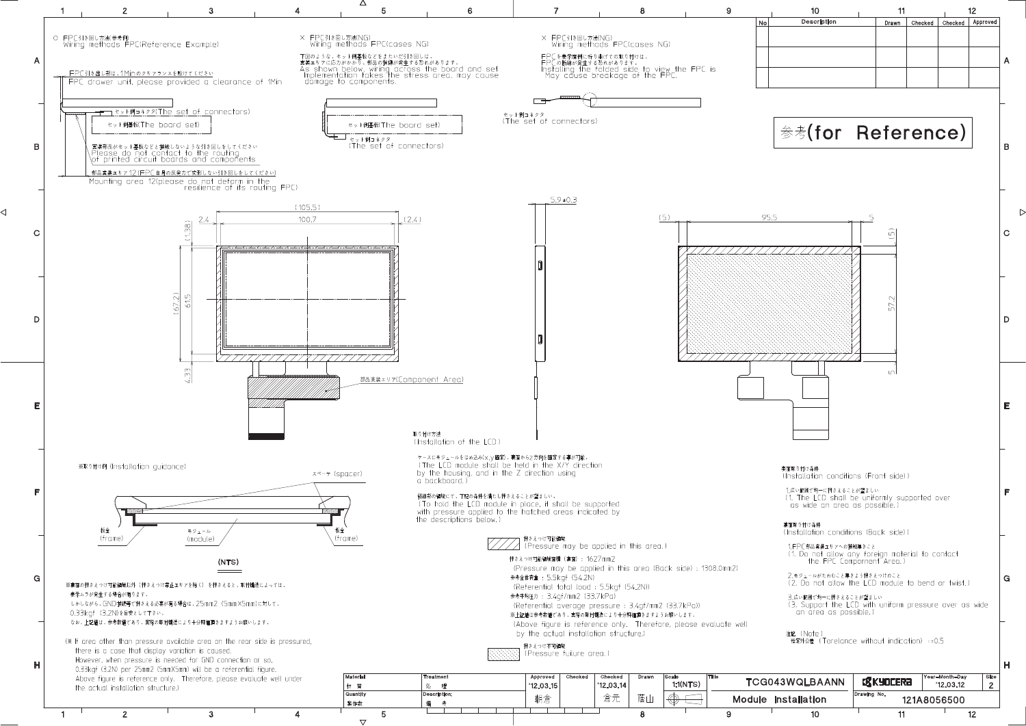![](_page_16_Figure_0.jpeg)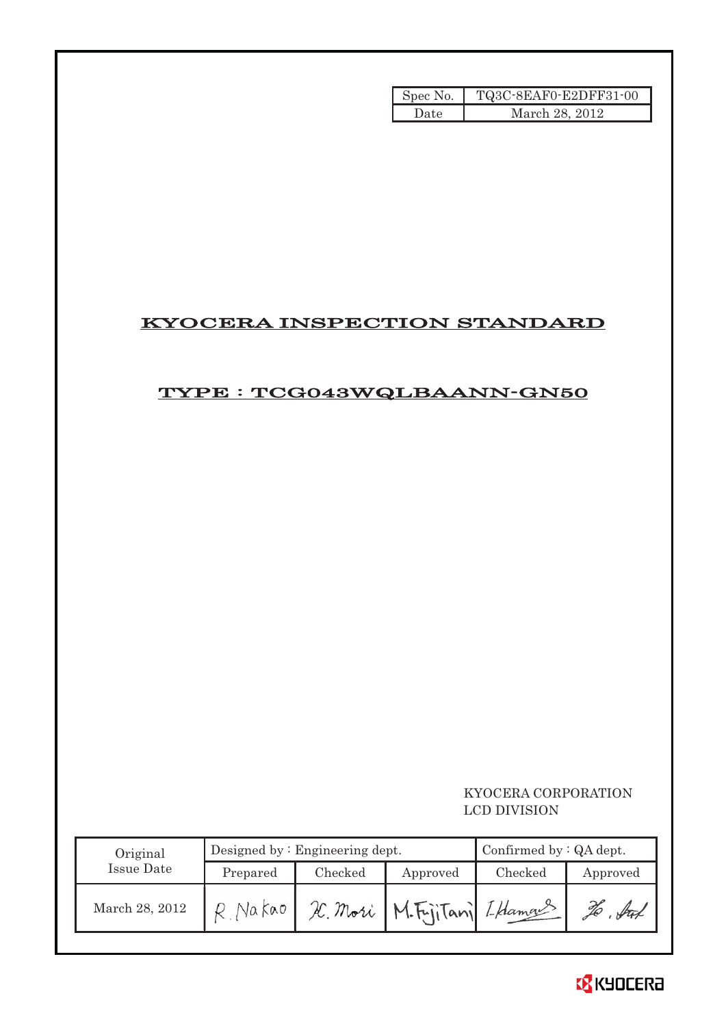| Spec No. | TQ3C-8EAF0-E2DFF31-00 |
|----------|-----------------------|
| Date     | March 28, 2012        |

## KYOCERA INSPECTION STANDARD

## TYPE : TCG043WQLBAANN-GN50

## KYOCERA CORPORATION LCD DIVISION

| Original       |                     | Designed by: Engineering dept. | Confirmed by $: QA$ dept. |         |          |
|----------------|---------------------|--------------------------------|---------------------------|---------|----------|
| Issue Date     | Checked<br>Prepared |                                | Approved                  | Checked | Approved |
| March 28, 2012 | Na kao              | H. Mori                        | M.Fritani LHamas          |         |          |

![](_page_17_Picture_5.jpeg)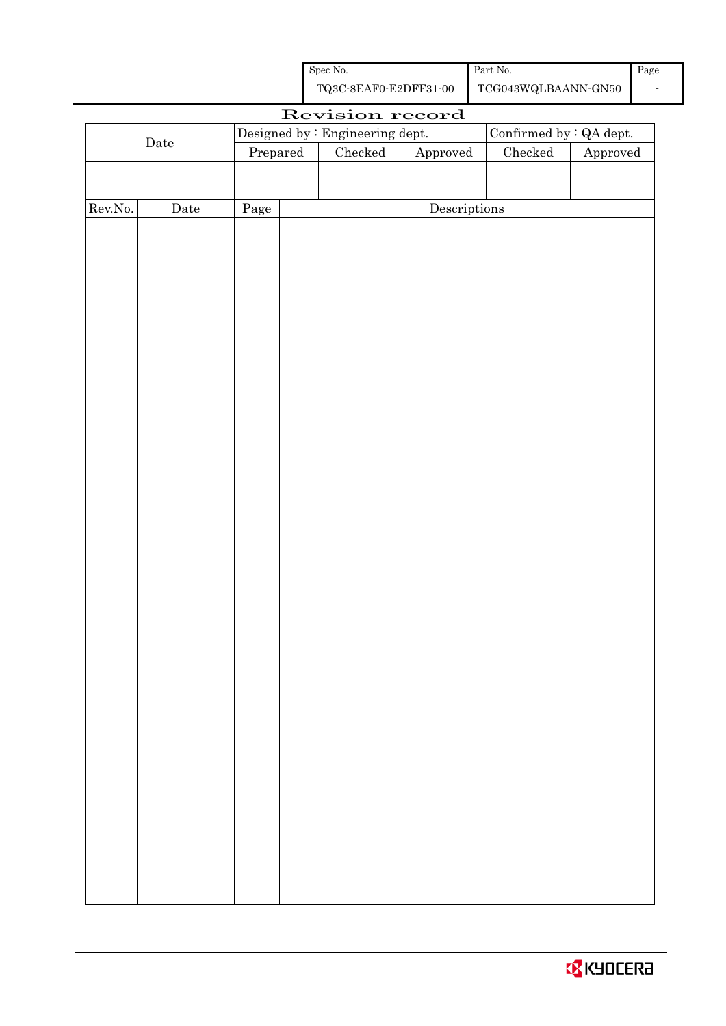| Spec No.              | Part No.         |
|-----------------------|------------------|
| TQ3C-8EAF0-E2DFF31-00 | TCG043WQLBAANN-0 |

|         | Revision record |      |          |                                 |                          |               |          |  |
|---------|-----------------|------|----------|---------------------------------|--------------------------|---------------|----------|--|
|         |                 |      |          | Designed by : Engineering dept. | Confirmed by $:QA$ dept. |               |          |  |
|         | $\rm{Date}$     |      | Prepared | $\rm Checked$                   | Approved                 | $\rm Checked$ | Approved |  |
|         |                 |      |          |                                 |                          |               |          |  |
|         |                 |      |          |                                 |                          |               |          |  |
| Rev.No. | Date            | Page |          |                                 | Descriptions             |               |          |  |
|         |                 |      |          |                                 |                          |               |          |  |
|         |                 |      |          |                                 |                          |               |          |  |
|         |                 |      |          |                                 |                          |               |          |  |
|         |                 |      |          |                                 |                          |               |          |  |
|         |                 |      |          |                                 |                          |               |          |  |
|         |                 |      |          |                                 |                          |               |          |  |
|         |                 |      |          |                                 |                          |               |          |  |
|         |                 |      |          |                                 |                          |               |          |  |
|         |                 |      |          |                                 |                          |               |          |  |
|         |                 |      |          |                                 |                          |               |          |  |
|         |                 |      |          |                                 |                          |               |          |  |
|         |                 |      |          |                                 |                          |               |          |  |
|         |                 |      |          |                                 |                          |               |          |  |
|         |                 |      |          |                                 |                          |               |          |  |
|         |                 |      |          |                                 |                          |               |          |  |
|         |                 |      |          |                                 |                          |               |          |  |
|         |                 |      |          |                                 |                          |               |          |  |
|         |                 |      |          |                                 |                          |               |          |  |
|         |                 |      |          |                                 |                          |               |          |  |
|         |                 |      |          |                                 |                          |               |          |  |
|         |                 |      |          |                                 |                          |               |          |  |
|         |                 |      |          |                                 |                          |               |          |  |
|         |                 |      |          |                                 |                          |               |          |  |
|         |                 |      |          |                                 |                          |               |          |  |
|         |                 |      |          |                                 |                          |               |          |  |
|         |                 |      |          |                                 |                          |               |          |  |
|         |                 |      |          |                                 |                          |               |          |  |
|         |                 |      |          |                                 |                          |               |          |  |
|         |                 |      |          |                                 |                          |               |          |  |
|         |                 |      |          |                                 |                          |               |          |  |
|         |                 |      |          |                                 |                          |               |          |  |
|         |                 |      |          |                                 |                          |               |          |  |
|         |                 |      |          |                                 |                          |               |          |  |
|         |                 |      |          |                                 |                          |               |          |  |
|         |                 |      |          |                                 |                          |               |          |  |
|         |                 |      |          |                                 |                          |               |          |  |
|         |                 |      |          |                                 |                          |               |          |  |
|         |                 |      |          |                                 |                          |               |          |  |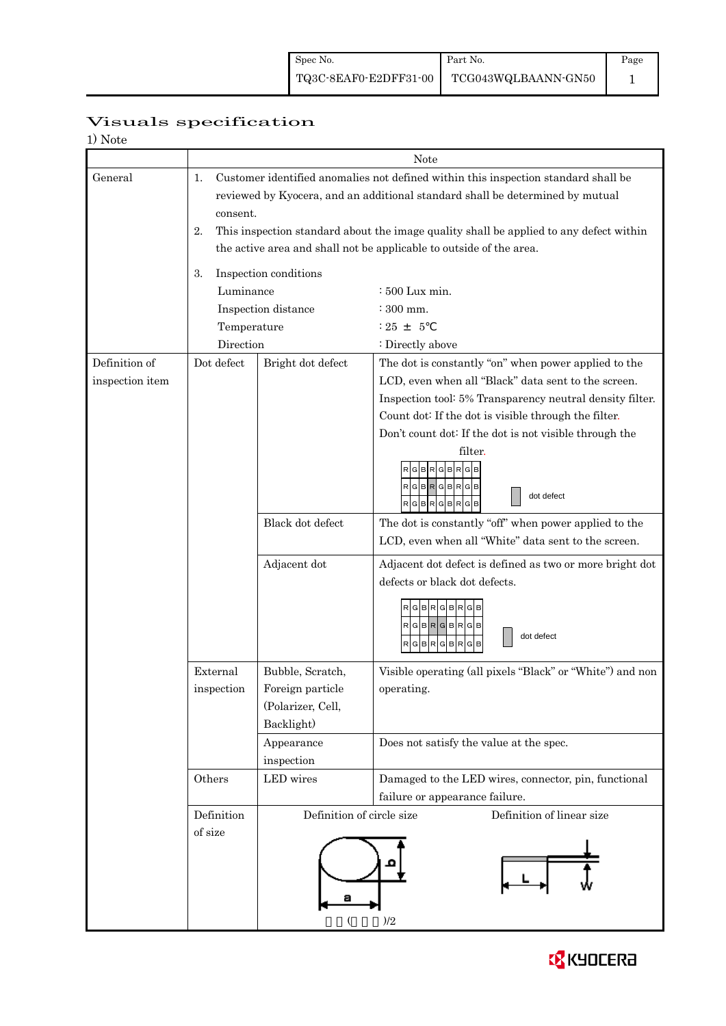Page 1

## Visuals specification

|                 |                                                                                              | Note                      |                                                                                        |  |  |  |  |
|-----------------|----------------------------------------------------------------------------------------------|---------------------------|----------------------------------------------------------------------------------------|--|--|--|--|
| General         | 1.                                                                                           |                           | Customer identified anomalies not defined within this inspection standard shall be     |  |  |  |  |
|                 | reviewed by Kyocera, and an additional standard shall be determined by mutual<br>consent.    |                           |                                                                                        |  |  |  |  |
|                 | This inspection standard about the image quality shall be applied to any defect within<br>2. |                           |                                                                                        |  |  |  |  |
|                 | the active area and shall not be applicable to outside of the area.                          |                           |                                                                                        |  |  |  |  |
|                 | Inspection conditions                                                                        |                           |                                                                                        |  |  |  |  |
|                 | 3.<br>Luminance                                                                              |                           | $\div 500$ Lux min.                                                                    |  |  |  |  |
|                 |                                                                                              | Inspection distance       | $\div$ 300 mm.<br>$: 25 + 5$                                                           |  |  |  |  |
|                 | Temperature                                                                                  |                           |                                                                                        |  |  |  |  |
|                 | Direction                                                                                    |                           | : Directly above                                                                       |  |  |  |  |
| Definition of   | Dot defect                                                                                   | Bright dot defect         | The dot is constantly "on" when power applied to the                                   |  |  |  |  |
| inspection item |                                                                                              |                           | LCD, even when all "Black" data sent to the screen.                                    |  |  |  |  |
|                 |                                                                                              |                           | Inspection tool: 5% Transparency neutral density filter.                               |  |  |  |  |
|                 |                                                                                              |                           | Count dot: If the dot is visible through the filter.                                   |  |  |  |  |
|                 |                                                                                              |                           | Don't count dot: If the dot is not visible through the                                 |  |  |  |  |
|                 |                                                                                              |                           | filter.                                                                                |  |  |  |  |
|                 |                                                                                              |                           | в<br>R                                                                                 |  |  |  |  |
|                 |                                                                                              |                           | RGBRGBRGB<br>dot defect                                                                |  |  |  |  |
|                 |                                                                                              |                           | RGBRGBRGB                                                                              |  |  |  |  |
|                 |                                                                                              | Black dot defect          | The dot is constantly "off" when power applied to the                                  |  |  |  |  |
|                 |                                                                                              |                           | LCD, even when all "White" data sent to the screen.                                    |  |  |  |  |
|                 |                                                                                              | Adjacent dot              | Adjacent dot defect is defined as two or more bright dot                               |  |  |  |  |
|                 |                                                                                              |                           | defects or black dot defects.                                                          |  |  |  |  |
|                 |                                                                                              |                           | GBRGBRG                                                                                |  |  |  |  |
|                 |                                                                                              |                           | $RG$ B $RG$ B $RG$ B                                                                   |  |  |  |  |
|                 |                                                                                              |                           | dot defect<br>$R$ G $B$ R $G$ B $R$ G                                                  |  |  |  |  |
|                 | External                                                                                     | Bubble, Scratch,          | Visible operating (all pixels "Black" or "White") and non                              |  |  |  |  |
|                 | inspection                                                                                   | Foreign particle          | operating.                                                                             |  |  |  |  |
|                 |                                                                                              | (Polarizer, Cell,         |                                                                                        |  |  |  |  |
|                 |                                                                                              | Backlight)                |                                                                                        |  |  |  |  |
|                 |                                                                                              | Appearance                | Does not satisfy the value at the spec.                                                |  |  |  |  |
|                 |                                                                                              | inspection                |                                                                                        |  |  |  |  |
|                 | Others                                                                                       | LED wires                 | Damaged to the LED wires, connector, pin, functional<br>failure or appearance failure. |  |  |  |  |
|                 | Definition                                                                                   | Definition of circle size | Definition of linear size                                                              |  |  |  |  |
|                 | of size                                                                                      |                           |                                                                                        |  |  |  |  |
|                 |                                                                                              |                           |                                                                                        |  |  |  |  |
|                 |                                                                                              |                           |                                                                                        |  |  |  |  |
|                 |                                                                                              |                           |                                                                                        |  |  |  |  |
|                 |                                                                                              |                           |                                                                                        |  |  |  |  |
|                 |                                                                                              |                           | )/2                                                                                    |  |  |  |  |

![](_page_19_Picture_6.jpeg)